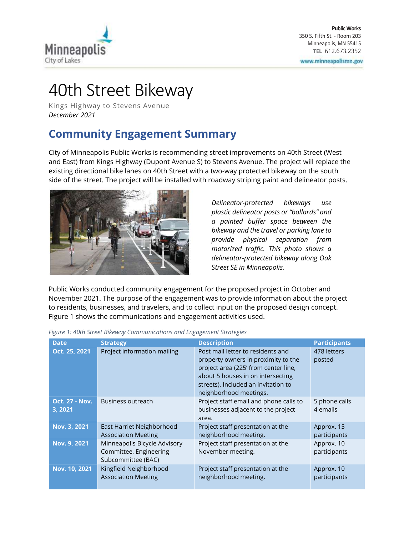

# 40th Street Bikeway

Kings Highway to Stevens Avenue *December 2021*

## **Community Engagement Summary**

City of Minneapolis Public Works is recommending street improvements on 40th Street (West and East) from Kings Highway (Dupont Avenue S) to Stevens Avenue. The project will replace the existing directional bike lanes on 40th Street with a two-way protected bikeway on the south side of the street. The project will be installed with roadway striping paint and delineator posts.



*Delineator-protected bikeways use plastic delineator posts or "bollards" and a painted buffer space between the bikeway and the travel or parking lane to provide physical separation from motorized traffic. This photo shows a delineator-protected bikeway along Oak Street SE in Minneapolis.*

Public Works conducted community engagement for the proposed project in October and November 2021. The purpose of the engagement was to provide information about the project to residents, businesses, and travelers, and to collect input on the proposed design concept. Figure 1 shows the communications and engagement activities used.

| <b>Date</b>                      | <b>Strategy</b>                                                              | <b>Description</b>                                                                                                                                                                                                     | <b>Participants</b>        |
|----------------------------------|------------------------------------------------------------------------------|------------------------------------------------------------------------------------------------------------------------------------------------------------------------------------------------------------------------|----------------------------|
| Oct. 25, 2021                    | Project information mailing                                                  | Post mail letter to residents and<br>property owners in proximity to the<br>project area (225' from center line,<br>about 5 houses in on intersecting<br>streets). Included an invitation to<br>neighborhood meetings. | 478 letters<br>posted      |
| <b>Oct. 27 - Nov.</b><br>3, 2021 | Business outreach                                                            | Project staff email and phone calls to<br>businesses adjacent to the project<br>area.                                                                                                                                  | 5 phone calls<br>4 emails  |
| Nov. 3, 2021                     | East Harriet Neighborhood<br><b>Association Meeting</b>                      | Project staff presentation at the<br>neighborhood meeting.                                                                                                                                                             | Approx. 15<br>participants |
| Nov. 9, 2021                     | Minneapolis Bicycle Advisory<br>Committee, Engineering<br>Subcommittee (BAC) | Project staff presentation at the<br>November meeting.                                                                                                                                                                 | Approx. 10<br>participants |
| Nov. 10, 2021                    | Kingfield Neighborhood<br><b>Association Meeting</b>                         | Project staff presentation at the<br>neighborhood meeting.                                                                                                                                                             | Approx. 10<br>participants |

*Figure 1: 40th Street Bikeway Communications and Engagement Strategies*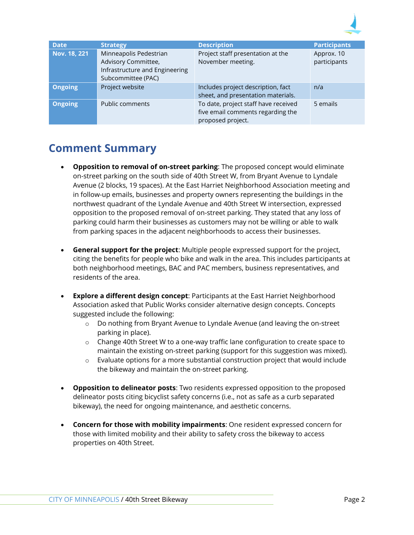

| <b>Date</b>    | <b>Strategy</b>                                                                                       | <b>Description</b>                                                                             | <b>Participants</b>        |
|----------------|-------------------------------------------------------------------------------------------------------|------------------------------------------------------------------------------------------------|----------------------------|
| Nov. 18, 221   | Minneapolis Pedestrian<br>Advisory Committee,<br>Infrastructure and Engineering<br>Subcommittee (PAC) | Project staff presentation at the<br>November meeting.                                         | Approx. 10<br>participants |
| <b>Ongoing</b> | Project website                                                                                       | Includes project description, fact<br>sheet, and presentation materials.                       | n/a                        |
| <b>Ongoing</b> | <b>Public comments</b>                                                                                | To date, project staff have received<br>five email comments regarding the<br>proposed project. | 5 emails                   |

### **Comment Summary**

- **Opposition to removal of on-street parking**: The proposed concept would eliminate on-street parking on the south side of 40th Street W, from Bryant Avenue to Lyndale Avenue (2 blocks, 19 spaces). At the East Harriet Neighborhood Association meeting and in follow-up emails, businesses and property owners representing the buildings in the northwest quadrant of the Lyndale Avenue and 40th Street W intersection, expressed opposition to the proposed removal of on-street parking. They stated that any loss of parking could harm their businesses as customers may not be willing or able to walk from parking spaces in the adjacent neighborhoods to access their businesses.
- **General support for the project**: Multiple people expressed support for the project, citing the benefits for people who bike and walk in the area. This includes participants at both neighborhood meetings, BAC and PAC members, business representatives, and residents of the area.
- **Explore a different design concept:** Participants at the East Harriet Neighborhood Association asked that Public Works consider alternative design concepts. Concepts suggested include the following:
	- o Do nothing from Bryant Avenue to Lyndale Avenue (and leaving the on-street parking in place).
	- $\circ$  Change 40th Street W to a one-way traffic lane configuration to create space to maintain the existing on-street parking (support for this suggestion was mixed).
	- $\circ$  Evaluate options for a more substantial construction project that would include the bikeway and maintain the on-street parking.
- **Opposition to delineator posts**: Two residents expressed opposition to the proposed delineator posts citing bicyclist safety concerns (i.e., not as safe as a curb separated bikeway), the need for ongoing maintenance, and aesthetic concerns.
- **Concern for those with mobility impairments**: One resident expressed concern for those with limited mobility and their ability to safety cross the bikeway to access properties on 40th Street.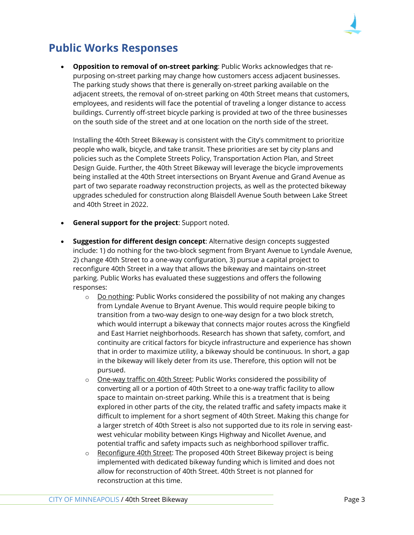

### **Public Works Responses**

• **Opposition to removal of on-street parking**: Public Works acknowledges that repurposing on-street parking may change how customers access adjacent businesses. The parking study shows that there is generally on-street parking available on the adjacent streets, the removal of on-street parking on 40th Street means that customers, employees, and residents will face the potential of traveling a longer distance to access buildings. Currently off-street bicycle parking is provided at two of the three businesses on the south side of the street and at one location on the north side of the street.

Installing the 40th Street Bikeway is consistent with the City's commitment to prioritize people who walk, bicycle, and take transit. These priorities are set by city plans and policies such as the Complete Streets Policy, Transportation Action Plan, and Street Design Guide. Further, the 40th Street Bikeway will leverage the bicycle improvements being installed at the 40th Street intersections on Bryant Avenue and Grand Avenue as part of two separate roadway reconstruction projects, as well as the protected bikeway upgrades scheduled for construction along Blaisdell Avenue South between Lake Street and 40th Street in 2022.

- **General support for the project: Support noted.**
- **Suggestion for different design concept**: Alternative design concepts suggested include: 1) do nothing for the two-block segment from Bryant Avenue to Lyndale Avenue, 2) change 40th Street to a one-way configuration, 3) pursue a capital project to reconfigure 40th Street in a way that allows the bikeway and maintains on-street parking. Public Works has evaluated these suggestions and offers the following responses:
	- $\circ$  Do nothing: Public Works considered the possibility of not making any changes from Lyndale Avenue to Bryant Avenue. This would require people biking to transition from a two-way design to one-way design for a two block stretch, which would interrupt a bikeway that connects major routes across the Kingfield and East Harriet neighborhoods. Research has shown that safety, comfort, and continuity are critical factors for bicycle infrastructure and experience has shown that in order to maximize utility, a bikeway should be continuous. In short, a gap in the bikeway will likely deter from its use. Therefore, this option will not be pursued.
	- o One-way traffic on 40th Street: Public Works considered the possibility of converting all or a portion of 40th Street to a one-way traffic facility to allow space to maintain on-street parking. While this is a treatment that is being explored in other parts of the city, the related traffic and safety impacts make it difficult to implement for a short segment of 40th Street. Making this change for a larger stretch of 40th Street is also not supported due to its role in serving eastwest vehicular mobility between Kings Highway and Nicollet Avenue, and potential traffic and safety impacts such as neighborhood spillover traffic.
	- o Reconfigure 40th Street: The proposed 40th Street Bikeway project is being implemented with dedicated bikeway funding which is limited and does not allow for reconstruction of 40th Street. 40th Street is not planned for reconstruction at this time.